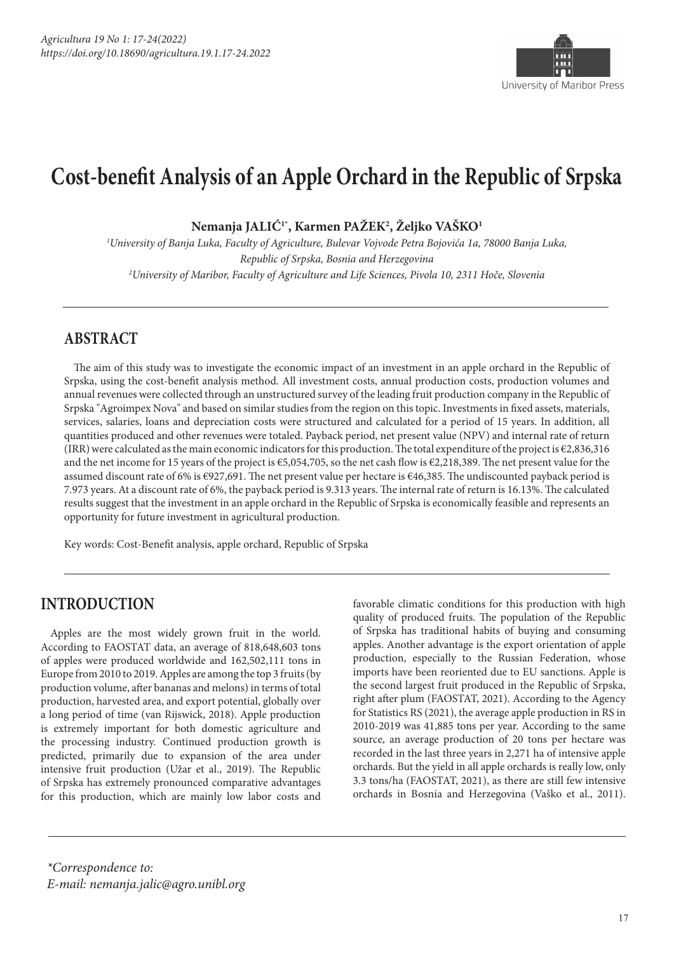

## **Cost-benefit Analysis of an Apple Orchard in the Republic of Srpska**

**Nemanja JALIĆ1\*, Karmen PAŽEK2 , Željko VAŠKO1**

*1 University of Banja Luka, Faculty of Agriculture, Bulevar Vojvode Petra Bojovića 1a, 78000 Banja Luka, Republic of Srpska, Bosnia and Herzegovina 2 University of Maribor, Faculty of Agriculture and Life Sciences, Pivola 10, 2311 Hoče, Slovenia* 

## **ABSTRACT**

The aim of this study was to investigate the economic impact of an investment in an apple orchard in the Republic of Srpska, using the cost-benefit analysis method. All investment costs, annual production costs, production volumes and annual revenues were collected through an unstructured survey of the leading fruit production company in the Republic of Srpska "Agroimpex Nova" and based on similar studies from the region on this topic. Investments in fixed assets, materials, services, salaries, loans and depreciation costs were structured and calculated for a period of 15 years. In addition, all quantities produced and other revenues were totaled. Payback period, net present value (NPV) and internal rate of return (IRR) were calculated as the main economic indicators for this production. The total expenditure of the project is €2,836,316 and the net income for 15 years of the project is €5,054,705, so the net cash flow is €2,218,389. The net present value for the assumed discount rate of 6% is €927,691. The net present value per hectare is €46,385. The undiscounted payback period is 7.973 years. At a discount rate of 6%, the payback period is 9.313 years. The internal rate of return is 16.13%. The calculated results suggest that the investment in an apple orchard in the Republic of Srpska is economically feasible and represents an opportunity for future investment in agricultural production.

Key words: Cost-Benefit analysis, apple orchard, Republic of Srpska

## **INTRODUCTION**

Apples are the most widely grown fruit in the world. According to FAOSTAT data, an average of 818,648,603 tons of apples were produced worldwide and 162,502,111 tons in Europe from 2010 to 2019. Apples are among the top 3 fruits (by production volume, after bananas and melons) in terms of total production, harvested area, and export potential, globally over a long period of time (van Rijswick, 2018). Apple production is extremely important for both domestic agriculture and the processing industry. Continued production growth is predicted, primarily due to expansion of the area under intensive fruit production (Užar et al., 2019). The Republic of Srpska has extremely pronounced comparative advantages for this production, which are mainly low labor costs and

favorable climatic conditions for this production with high quality of produced fruits. The population of the Republic of Srpska has traditional habits of buying and consuming apples. Another advantage is the export orientation of apple production, especially to the Russian Federation, whose imports have been reoriented due to EU sanctions. Apple is the second largest fruit produced in the Republic of Srpska, right after plum (FAOSTAT, 2021). According to the Agency for Statistics RS (2021), the average apple production in RS in 2010-2019 was 41,885 tons per year. According to the same source, an average production of 20 tons per hectare was recorded in the last three years in 2,271 ha of intensive apple orchards. But the yield in all apple orchards is really low, only 3.3 tons/ha (FAOSTAT, 2021), as there are still few intensive orchards in Bosnia and Herzegovina (Vaško et al., 2011).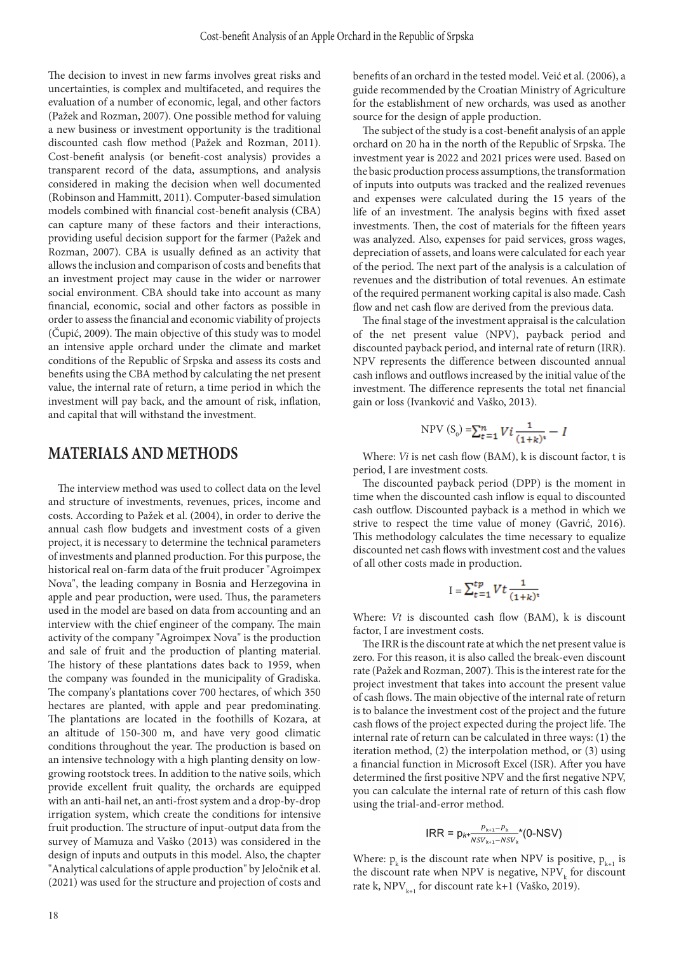The decision to invest in new farms involves great risks and uncertainties, is complex and multifaceted, and requires the evaluation of a number of economic, legal, and other factors (Pažek and Rozman, 2007). One possible method for valuing a new business or investment opportunity is the traditional discounted cash flow method (Pažek and Rozman, 2011). Cost-benefit analysis (or benefit-cost analysis) provides a transparent record of the data, assumptions, and analysis considered in making the decision when well documented (Robinson and Hammitt, 2011). Computer-based simulation models combined with financial cost-benefit analysis (CBA) can capture many of these factors and their interactions, providing useful decision support for the farmer (Pažek and Rozman, 2007). CBA is usually defined as an activity that allows the inclusion and comparison of costs and benefits that an investment project may cause in the wider or narrower social environment. CBA should take into account as many financial, economic, social and other factors as possible in order to assess the financial and economic viability of projects  $(\text{Čupić}, 2009)$ . The main objective of this study was to model an intensive apple orchard under the climate and market conditions of the Republic of Srpska and assess its costs and benefits using the CBA method by calculating the net present value, the internal rate of return, a time period in which the investment will pay back, and the amount of risk, inflation, and capital that will withstand the investment.

## **MATERIALS AND METHODS**

The interview method was used to collect data on the level and structure of investments, revenues, prices, income and costs. According to Pažek et al. (2004), in order to derive the annual cash flow budgets and investment costs of a given project, it is necessary to determine the technical parameters of investments and planned production. For this purpose, the historical real on-farm data of the fruit producer "Agroimpex Nova", the leading company in Bosnia and Herzegovina in apple and pear production, were used. Thus, the parameters used in the model are based on data from accounting and an interview with the chief engineer of the company. The main activity of the company "Agroimpex Nova" is the production and sale of fruit and the production of planting material. The history of these plantations dates back to 1959, when the company was founded in the municipality of Gradiska. The company's plantations cover 700 hectares, of which 350 hectares are planted, with apple and pear predominating. The plantations are located in the foothills of Kozara, at an altitude of 150-300 m, and have very good climatic conditions throughout the year. The production is based on an intensive technology with a high planting density on lowgrowing rootstock trees. In addition to the native soils, which provide excellent fruit quality, the orchards are equipped with an anti-hail net, an anti-frost system and a drop-by-drop irrigation system, which create the conditions for intensive fruit production. The structure of input-output data from the survey of Mamuza and Vaško (2013) was considered in the design of inputs and outputs in this model. Also, the chapter "Analytical calculations of apple production" by Jeločnik et al. (2021) was used for the structure and projection of costs and benefits of an orchard in the tested model. Veić et al. (2006), a guide recommended by the Croatian Ministry of Agriculture for the establishment of new orchards, was used as another source for the design of apple production.

The subject of the study is a cost-benefit analysis of an apple orchard on 20 ha in the north of the Republic of Srpska. The investment year is 2022 and 2021 prices were used. Based on the basic production process assumptions, the transformation of inputs into outputs was tracked and the realized revenues and expenses were calculated during the 15 years of the life of an investment. The analysis begins with fixed asset investments. Then, the cost of materials for the fifteen years was analyzed. Also, expenses for paid services, gross wages, depreciation of assets, and loans were calculated for each year of the period. The next part of the analysis is a calculation of revenues and the distribution of total revenues. An estimate of the required permanent working capital is also made. Cash flow and net cash flow are derived from the previous data.

The final stage of the investment appraisal is the calculation of the net present value (NPV), payback period and discounted payback period, and internal rate of return (IRR). NPV represents the difference between discounted annual cash inflows and outflows increased by the initial value of the investment. The difference represents the total net financial gain or loss (Ivanković and Vaško, 2013).

NPV 
$$
(S_0)
$$
 = $\sum_{t=1}^{n} V i \frac{1}{(1+k)^t} - I$ 

Where: *Vi* is net cash flow (BAM), k is discount factor, t is period, I are investment costs.

The discounted payback period (DPP) is the moment in time when the discounted cash inflow is equal to discounted cash outflow. Discounted payback is a method in which we strive to respect the time value of money (Gavrić, 2016). This methodology calculates the time necessary to equalize discounted net cash flows with investment cost and the values of all other costs made in production.

$$
I = \sum_{t=1}^{tp} Vt \frac{1}{(1+k)^t}
$$

Where: *Vt* is discounted cash flow (BAM), k is discount factor, I are investment costs.

The IRR is the discount rate at which the net present value is zero. For this reason, it is also called the break-even discount rate (Pažek and Rozman, 2007). This is the interest rate for the project investment that takes into account the present value of cash flows. The main objective of the internal rate of return is to balance the investment cost of the project and the future cash flows of the project expected during the project life. The internal rate of return can be calculated in three ways: (1) the iteration method, (2) the interpolation method, or (3) using a financial function in Microsoft Excel (ISR). After you have determined the first positive NPV and the first negative NPV, you can calculate the internal rate of return of this cash flow using the trial-and-error method.

$$
{\sf IRR} = p_{k+\frac{P_{k+1}-P_k}{NSV_{k+1}-NSV_k}}*(0\text{-NSV})
$$

Where:  $p_k$  is the discount rate when NPV is positive,  $p_{k+1}$  is the discount rate when NPV is negative,  $\mbox{NPV}_k$  for discount rate k, NPV<sub>k+1</sub> for discount rate k+1 (Vaško, 2019).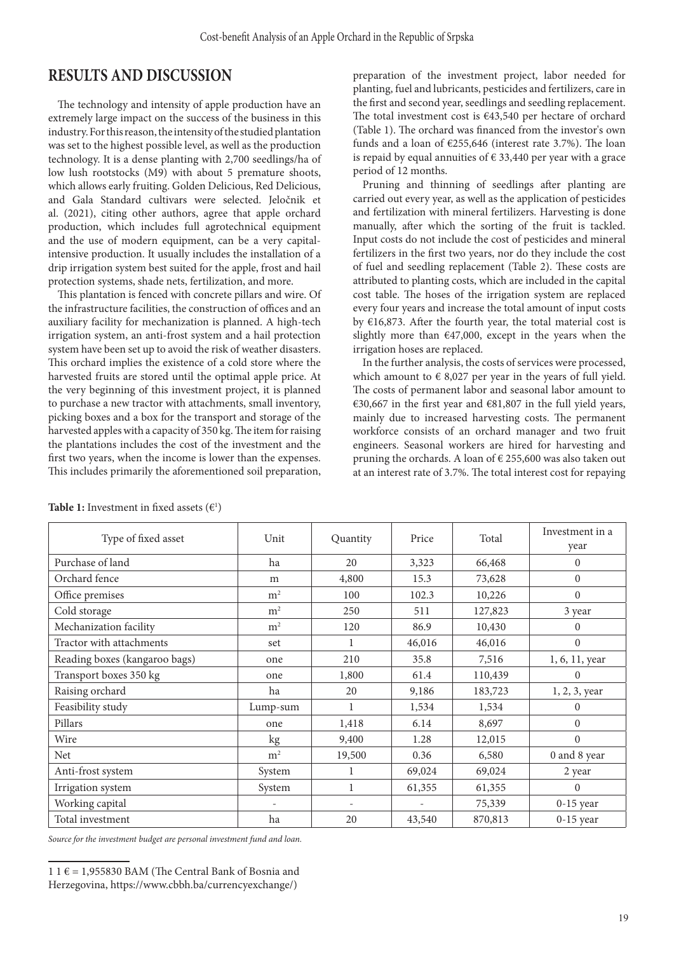### **RESULTS AND DISCUSSION**

The technology and intensity of apple production have an extremely large impact on the success of the business in this industry. For this reason, the intensity of the studied plantation was set to the highest possible level, as well as the production technology. It is a dense planting with 2,700 seedlings/ha of low lush rootstocks (M9) with about 5 premature shoots, which allows early fruiting. Golden Delicious, Red Delicious, and Gala Standard cultivars were selected. Jeločnik et al. (2021), citing other authors, agree that apple orchard production, which includes full agrotechnical equipment and the use of modern equipment, can be a very capitalintensive production. It usually includes the installation of a drip irrigation system best suited for the apple, frost and hail protection systems, shade nets, fertilization, and more.

This plantation is fenced with concrete pillars and wire. Of the infrastructure facilities, the construction of offices and an auxiliary facility for mechanization is planned. A high-tech irrigation system, an anti-frost system and a hail protection system have been set up to avoid the risk of weather disasters. This orchard implies the existence of a cold store where the harvested fruits are stored until the optimal apple price. At the very beginning of this investment project, it is planned to purchase a new tractor with attachments, small inventory, picking boxes and a box for the transport and storage of the harvested apples with a capacity of 350 kg. The item for raising the plantations includes the cost of the investment and the first two years, when the income is lower than the expenses. This includes primarily the aforementioned soil preparation, preparation of the investment project, labor needed for planting, fuel and lubricants, pesticides and fertilizers, care in the first and second year, seedlings and seedling replacement. The total investment cost is €43,540 per hectare of orchard (Table 1). The orchard was financed from the investor's own funds and a loan of €255,646 (interest rate 3.7%). The loan is repaid by equal annuities of  $\epsilon$  33,440 per year with a grace period of 12 months.

Pruning and thinning of seedlings after planting are carried out every year, as well as the application of pesticides and fertilization with mineral fertilizers. Harvesting is done manually, after which the sorting of the fruit is tackled. Input costs do not include the cost of pesticides and mineral fertilizers in the first two years, nor do they include the cost of fuel and seedling replacement (Table 2). These costs are attributed to planting costs, which are included in the capital cost table. The hoses of the irrigation system are replaced every four years and increase the total amount of input costs by €16,873. After the fourth year, the total material cost is slightly more than  $€47,000$ , except in the years when the irrigation hoses are replaced.

In the further analysis, the costs of services were processed, which amount to  $\epsilon$  8,027 per year in the years of full yield. The costs of permanent labor and seasonal labor amount to €30,667 in the first year and €81,807 in the full yield years, mainly due to increased harvesting costs. The permanent workforce consists of an orchard manager and two fruit engineers. Seasonal workers are hired for harvesting and pruning the orchards. A loan of € 255,600 was also taken out at an interest rate of 3.7%. The total interest cost for repaying

| Type of fixed asset           | Unit           | Quantity | Price  | Total   | Investment in a<br>year |
|-------------------------------|----------------|----------|--------|---------|-------------------------|
| Purchase of land              | ha             | 20       | 3,323  | 66,468  | $\mathbf{0}$            |
| Orchard fence                 | m              | 4,800    | 15.3   | 73,628  | $\mathbf{0}$            |
| Office premises               | m <sup>2</sup> | 100      | 102.3  | 10,226  | $\mathbf{0}$            |
| Cold storage                  | m <sup>2</sup> | 250      | 511    | 127,823 | 3 year                  |
| Mechanization facility        | m <sup>2</sup> | 120      | 86.9   | 10,430  | $\mathbf{0}$            |
| Tractor with attachments      | set            | 1        | 46,016 | 46,016  | $\boldsymbol{0}$        |
| Reading boxes (kangaroo bags) | one            | 210      | 35.8   | 7,516   | 1, 6, 11, year          |
| Transport boxes 350 kg        | one            | 1,800    | 61.4   | 110,439 | $\mathbf{0}$            |
| Raising orchard               | ha             | 20       | 9,186  | 183,723 | 1, 2, 3, year           |
| Feasibility study             | Lump-sum       |          | 1,534  | 1,534   | $\overline{0}$          |
| Pillars                       | one            | 1,418    | 6.14   | 8,697   | $\boldsymbol{0}$        |
| Wire                          | kg             | 9,400    | 1.28   | 12,015  | $\overline{0}$          |
| <b>Net</b>                    | m <sup>2</sup> | 19,500   | 0.36   | 6,580   | 0 and 8 year            |
| Anti-frost system             | System         |          | 69,024 | 69,024  | 2 year                  |
| Irrigation system             | System         |          | 61,355 | 61,355  | $\Omega$                |
| Working capital               |                | ۰        |        | 75,339  | $0-15$ year             |
| Total investment              | ha             | 20       | 43,540 | 870,813 | $0-15$ year             |

**Table 1:** Investment in fixed assets  $(\epsilon^{\text{I}})$ 

*Source for the investment budget are personal investment fund and loan.*

<sup>1 1</sup>  $\varepsilon$  = 1,955830 BAM (The Central Bank of Bosnia and Herzegovina, https://www.cbbh.ba/currencyexchange/)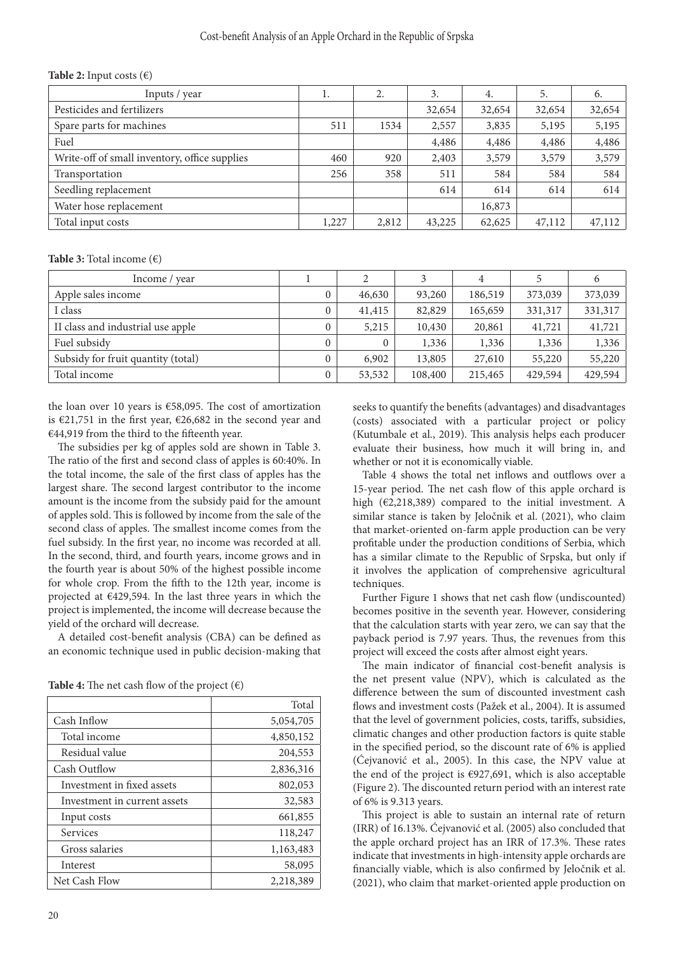| <b>Table 2:</b> Input costs $(\epsilon)$      |       |       |        |        |        |        |
|-----------------------------------------------|-------|-------|--------|--------|--------|--------|
| Inputs / year                                 | 1.    | 2.    | 3.     | 4.     | 5.     | 6.     |
| Pesticides and fertilizers                    |       |       | 32,654 | 32,654 | 32,654 | 32,654 |
| Spare parts for machines                      | 511   | 1534  | 2,557  | 3,835  | 5,195  | 5,195  |
| Fuel                                          |       |       | 4,486  | 4,486  | 4,486  | 4,486  |
| Write-off of small inventory, office supplies | 460   | 920   | 2,403  | 3,579  | 3,579  | 3,579  |
| Transportation                                | 256   | 358   | 511    | 584    | 584    | 584    |
| Seedling replacement                          |       |       | 614    | 614    | 614    | 614    |
| Water hose replacement                        |       |       |        | 16,873 |        |        |
| Total input costs                             | 1,227 | 2,812 | 43,225 | 62,625 | 47,112 | 47,112 |

#### Cost-benefit Analysis of an Apple Orchard in the Republic of Srpska

**Table 3:** Total income (€)

| Income / year                      |                |        |         | 4       |         |         |
|------------------------------------|----------------|--------|---------|---------|---------|---------|
| Apple sales income                 | $\mathbf{0}$   | 46,630 | 93,260  | 186,519 | 373,039 | 373,039 |
| I class                            | $\mathbf{0}$   | 41,415 | 82,829  | 165,659 | 331,317 | 331,317 |
| II class and industrial use apple  | $\mathbf{0}$   | 5,215  | 10,430  | 20,861  | 41,721  | 41,721  |
| Fuel subsidy                       | $\overline{0}$ |        | 1,336   | 1,336   | 1,336   | 1,336   |
| Subsidy for fruit quantity (total) | $\overline{0}$ | 6,902  | 13,805  | 27,610  | 55,220  | 55,220  |
| Total income                       | $\overline{0}$ | 53,532 | 108,400 | 215,465 | 429,594 | 429,594 |

the loan over 10 years is €58,095. The cost of amortization is €21,751 in the first year, €26,682 in the second year and €44,919 from the third to the fifteenth year.

The subsidies per kg of apples sold are shown in Table 3. The ratio of the first and second class of apples is 60:40%. In the total income, the sale of the first class of apples has the largest share. The second largest contributor to the income amount is the income from the subsidy paid for the amount of apples sold. This is followed by income from the sale of the second class of apples. The smallest income comes from the fuel subsidy. In the first year, no income was recorded at all. In the second, third, and fourth years, income grows and in the fourth year is about 50% of the highest possible income for whole crop. From the fifth to the 12th year, income is projected at €429,594. In the last three years in which the project is implemented, the income will decrease because the yield of the orchard will decrease.

A detailed cost-benefit analysis (CBA) can be defined as an economic technique used in public decision-making that

|                              | Total     |
|------------------------------|-----------|
| Cash Inflow                  | 5,054,705 |
| Total income                 | 4,850,152 |
| Residual value               | 204,553   |
| Cash Outflow                 | 2,836,316 |
| Investment in fixed assets   | 802,053   |
| Investment in current assets | 32,583    |
| Input costs                  | 661,855   |
| Services                     | 118,247   |
| Gross salaries               | 1,163,483 |
| Interest                     | 58,095    |
| Net Cash Flow                | 2,218,389 |

**Table 4:** The net cash flow of the project  $(\epsilon)$ 

seeks to quantify the benefits (advantages) and disadvantages (costs) associated with a particular project or policy (Kutumbale et al., 2019). This analysis helps each producer evaluate their business, how much it will bring in, and whether or not it is economically viable.

Table 4 shows the total net inflows and outflows over a 15-year period. The net cash flow of this apple orchard is high (€2,218,389) compared to the initial investment. A similar stance is taken by Jeločnik et al. (2021), who claim that market-oriented on-farm apple production can be very profitable under the production conditions of Serbia, which has a similar climate to the Republic of Srpska, but only if it involves the application of comprehensive agricultural techniques.

Further Figure 1 shows that net cash flow (undiscounted) becomes positive in the seventh year. However, considering that the calculation starts with year zero, we can say that the payback period is 7.97 years. Thus, the revenues from this project will exceed the costs after almost eight years.

The main indicator of financial cost-benefit analysis is the net present value (NPV), which is calculated as the difference between the sum of discounted investment cash flows and investment costs (Pažek et al., 2004). It is assumed that the level of government policies, costs, tariffs, subsidies, climatic changes and other production factors is quite stable in the specified period, so the discount rate of 6% is applied (Ćejvanović et al., 2005). In this case, the NPV value at the end of the project is  $€927,691$ , which is also acceptable (Figure 2). The discounted return period with an interest rate of 6% is 9.313 years.

This project is able to sustain an internal rate of return (IRR) of 16.13%. Ćejvanović et al. (2005) also concluded that the apple orchard project has an IRR of 17.3%. These rates indicate that investments in high-intensity apple orchards are financially viable, which is also confirmed by Jeločnik et al. (2021), who claim that market-oriented apple production on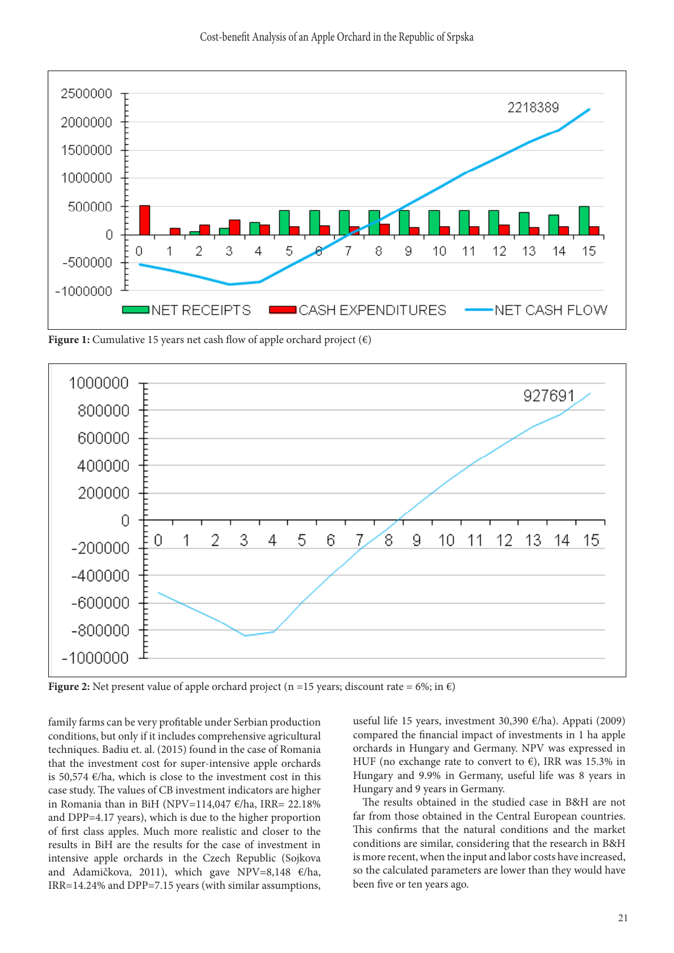

**Figure 1:** Cumulative 15 years net cash flow of apple orchard project  $(\epsilon)$ 



**Figure 2:** Net present value of apple orchard project (n =15 years; discount rate = 6%; in  $\epsilon$ )

family farms can be very profitable under Serbian production conditions, but only if it includes comprehensive agricultural techniques. Badiu et. al. (2015) found in the case of Romania that the investment cost for super-intensive apple orchards is 50,574  $\varepsilon$ /ha, which is close to the investment cost in this case study. The values of CB investment indicators are higher in Romania than in BiH (NPV=114,047  $\varepsilon$ /ha, IRR= 22.18% and DPP=4.17 years), which is due to the higher proportion of first class apples. Much more realistic and closer to the results in BiH are the results for the case of investment in intensive apple orchards in the Czech Republic (Sojkova and Adamičkova, 2011), which gave NPV=8,148 €/ha, IRR=14.24% and DPP=7.15 years (with similar assumptions, useful life 15 years, investment 30,390 €/ha). Appati (2009) compared the financial impact of investments in 1 ha apple orchards in Hungary and Germany. NPV was expressed in HUF (no exchange rate to convert to  $\epsilon$ ), IRR was 15.3% in Hungary and 9.9% in Germany, useful life was 8 years in Hungary and 9 years in Germany.

The results obtained in the studied case in B&H are not far from those obtained in the Central European countries. This confirms that the natural conditions and the market conditions are similar, considering that the research in B&H is more recent, when the input and labor costs have increased, so the calculated parameters are lower than they would have been five or ten years ago.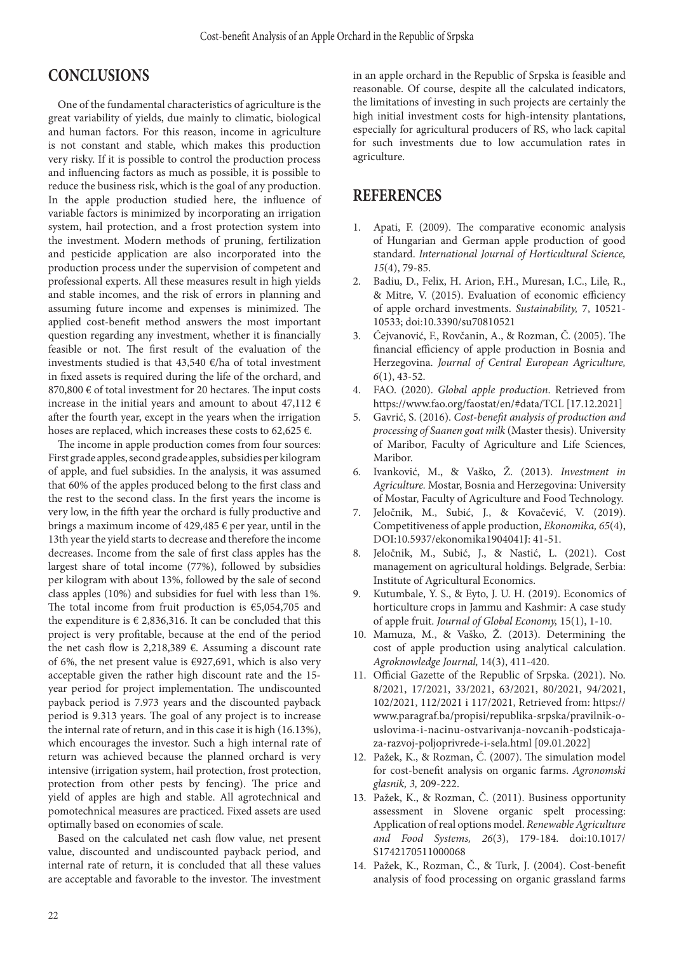## **CONCLUSIONS**

One of the fundamental characteristics of agriculture is the great variability of yields, due mainly to climatic, biological and human factors. For this reason, income in agriculture is not constant and stable, which makes this production very risky. If it is possible to control the production process and influencing factors as much as possible, it is possible to reduce the business risk, which is the goal of any production. In the apple production studied here, the influence of variable factors is minimized by incorporating an irrigation system, hail protection, and a frost protection system into the investment. Modern methods of pruning, fertilization and pesticide application are also incorporated into the production process under the supervision of competent and professional experts. All these measures result in high yields and stable incomes, and the risk of errors in planning and assuming future income and expenses is minimized. The applied cost-benefit method answers the most important question regarding any investment, whether it is financially feasible or not. The first result of the evaluation of the investments studied is that 43,540 €/ha of total investment in fixed assets is required during the life of the orchard, and 870,800 € of total investment for 20 hectares. The input costs increase in the initial years and amount to about 47,112  $\epsilon$ after the fourth year, except in the years when the irrigation hoses are replaced, which increases these costs to 62,625  $\epsilon$ .

The income in apple production comes from four sources: First grade apples, second grade apples, subsidies per kilogram of apple, and fuel subsidies. In the analysis, it was assumed that 60% of the apples produced belong to the first class and the rest to the second class. In the first years the income is very low, in the fifth year the orchard is fully productive and brings a maximum income of 429,485 € per year, until in the 13th year the yield starts to decrease and therefore the income decreases. Income from the sale of first class apples has the largest share of total income (77%), followed by subsidies per kilogram with about 13%, followed by the sale of second class apples (10%) and subsidies for fuel with less than 1%. The total income from fruit production is  $€5,054,705$  and the expenditure is  $\epsilon$  2,836,316. It can be concluded that this project is very profitable, because at the end of the period the net cash flow is 2,218,389 €. Assuming a discount rate of 6%, the net present value is €927,691, which is also very acceptable given the rather high discount rate and the 15 year period for project implementation. The undiscounted payback period is 7.973 years and the discounted payback period is 9.313 years. The goal of any project is to increase the internal rate of return, and in this case it is high (16.13%), which encourages the investor. Such a high internal rate of return was achieved because the planned orchard is very intensive (irrigation system, hail protection, frost protection, protection from other pests by fencing). The price and yield of apples are high and stable. All agrotechnical and pomotechnical measures are practiced. Fixed assets are used optimally based on economies of scale.

Based on the calculated net cash flow value, net present value, discounted and undiscounted payback period, and internal rate of return, it is concluded that all these values are acceptable and favorable to the investor. The investment

in an apple orchard in the Republic of Srpska is feasible and reasonable. Of course, despite all the calculated indicators, the limitations of investing in such projects are certainly the high initial investment costs for high-intensity plantations, especially for agricultural producers of RS, who lack capital for such investments due to low accumulation rates in agriculture.

### **REFERENCES**

- 1. Apati, F. (2009). The comparative economic analysis of Hungarian and German apple production of good standard. *International Journal of Horticultural Science, 15*(4), 79-85.
- 2. Badiu, D., Felix, H. Arion, F.H., Muresan, I.C., Lile, R., & Mitre, V. (2015). Evaluation of economic efficiency of apple orchard investments. *Sustainability,* 7, 10521- 10533; doi:10.3390/su70810521
- 3. Ćejvanović, F., Rovčanin, A., & Rozman, Č. (2005). The financial efficiency of apple production in Bosnia and Herzegovina. *Journal of Central European Agriculture, 6*(1), 43-52.
- 4. FAO. (2020). *Global apple production*. Retrieved from https://www.fao.org/faostat/en/#data/TCL [17.12.2021]
- 5. Gavrić, S. (2016). *Cost-benefit analysis of production and processing of Saanen goat milk* (Master thesis). University of Maribor, Faculty of Agriculture and Life Sciences, Maribor.
- 6. Ivanković, M., & Vaško, Ž. (2013). *Investment in Agriculture.* Mostar, Bosnia and Herzegovina: University of Mostar, Faculty of Agriculture and Food Technology.
- 7. Jeločnik, M., Subić, J., & Kovačević, V. (2019). Competitiveness of apple production, *Ekonomika, 65*(4), DOI:10.5937/ekonomika1904041J: 41-51.
- 8. Jeločnik, M., Subić, J., & Nastić, L. (2021). Cost management on agricultural holdings. Belgrade, Serbia: Institute of Agricultural Economics.
- 9. Kutumbale, Y. S., & Eyto, J. U. H. (2019). Economics of horticulture crops in Jammu and Kashmir: A case study of apple fruit. *Journal of Global Economy,* 15(1), 1-10.
- 10. Mamuza, M., & Vaško, Ž. (2013). Determining the cost of apple production using analytical calculation. *Agroknowledge Journal,* 14(3), 411-420.
- 11. Official Gazette of the Republic of Srpska. (2021). No. 8/2021, 17/2021, 33/2021, 63/2021, 80/2021, 94/2021, 102/2021, 112/2021 i 117/2021, Retrieved from: https:// www.paragraf.ba/propisi/republika-srpska/pravilnik-ouslovima-i-nacinu-ostvarivanja-novcanih-podsticajaza-razvoj-poljoprivrede-i-sela.html [09.01.2022]
- 12. Pažek, K., & Rozman, Č. (2007). The simulation model for cost-benefit analysis on organic farms. *Agronomski glasnik, 3,* 209-222.
- 13. Pažek, K., & Rozman, Č. (2011). Business opportunity assessment in Slovene organic spelt processing: Application of real options model. *Renewable Agriculture and Food Systems, 26*(3), 179-184. doi:10.1017/ S1742170511000068
- 14. Pažek, K., Rozman, Č., & Turk, J. (2004). Cost-benefit analysis of food processing on organic grassland farms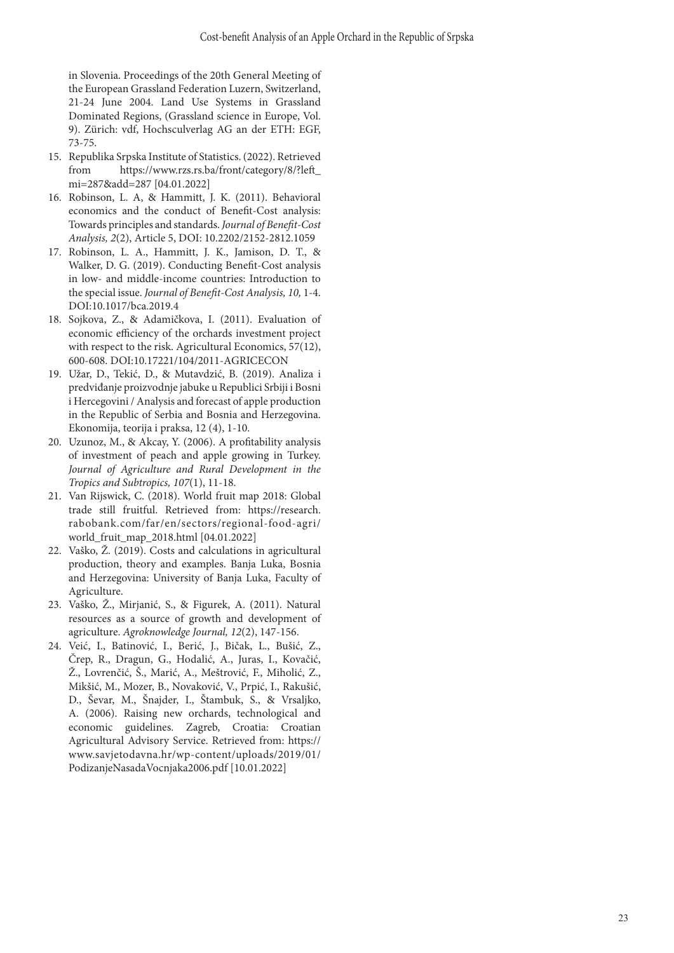in Slovenia. Proceedings of the 20th General Meeting of the European Grassland Federation Luzern, Switzerland, 21-24 June 2004. Land Use Systems in Grassland Dominated Regions, (Grassland science in Europe, Vol. 9). Zürich: vdf, Hochsculverlag AG an der ETH: EGF, 73-75.

- 15. Republika Srpska Institute of Statistics. (2022). Retrieved from https://www.rzs.rs.ba/front/category/8/?left\_ mi=287&add=287 [04.01.2022]
- 16. Robinson, L. A, & Hammitt, J. K. (2011). Behavioral economics and the conduct of Benefit-Cost analysis: Towards principles and standards. *Journal of Benefit-Cost Analysis, 2*(2), Article 5, DOI: 10.2202/2152-2812.1059
- 17. Robinson, L. A., Hammitt, J. K., Jamison, D. T., & Walker, D. G. (2019). Conducting Benefit-Cost analysis in low- and middle-income countries: Introduction to the special issue. *Journal of Benefit-Cost Analysis, 10,* 1-4. DOI:10.1017/bca.2019.4
- 18. Sojkova, Z., & Adamičkova, I. (2011). Evaluation of economic efficiency of the orchards investment project with respect to the risk. Agricultural Economics, 57(12), 600-608. DOI:10.17221/104/2011-AGRICECON
- 19. Užar, D., Tekić, D., & Mutavdzić, B. (2019). Analiza i predviđanje proizvodnje jabuke u Republici Srbiji i Bosni i Hercegovini / Analysis and forecast of apple production in the Republic of Serbia and Bosnia and Herzegovina. Ekonomija, teorija i praksa, 12 (4), 1-10.
- 20. Uzunoz, M., & Akcay, Y. (2006). A profitability analysis of investment of peach and apple growing in Turkey. *Journal of Agriculture and Rural Development in the Tropics and Subtropics, 107*(1), 11-18.
- 21. Van Rijswick, C. (2018). World fruit map 2018: Global trade still fruitful. Retrieved from: https://research. rabobank.com/far/en/sectors/regional-food-agri/ world\_fruit\_map\_2018.html [04.01.2022]
- 22. Vaško, Ž. (2019). Costs and calculations in agricultural production, theory and examples. Banja Luka, Bosnia and Herzegovina: University of Banja Luka, Faculty of Agriculture.
- 23. Vaško, Ž., Mirjanić, S., & Figurek, A. (2011). Natural resources as a source of growth and development of agriculture. *Agroknowledge Journal, 12*(2), 147-156.
- 24. Veić, I., Batinović, I., Berić, J., Bičak, L., Bušić, Z., Črep, R., Dragun, G., Hodalić, A., Juras, I., Kovačić, Ž., Lovrenčić, Š., Marić, A., Meštrović, F., Miholić, Z., Mikšić, M., Mozer, B., Novaković, V., Prpić, I., Rakušić, D., Ševar, M., Šnajder, I., Štambuk, S., & Vrsaljko, A. (2006). Raising new orchards, technological and economic guidelines. Zagreb, Croatia: Croatian Agricultural Advisory Service. Retrieved from: https:// www.savjetodavna.hr/wp-content/uploads/2019/01/ PodizanjeNasadaVocnjaka2006.pdf [10.01.2022]